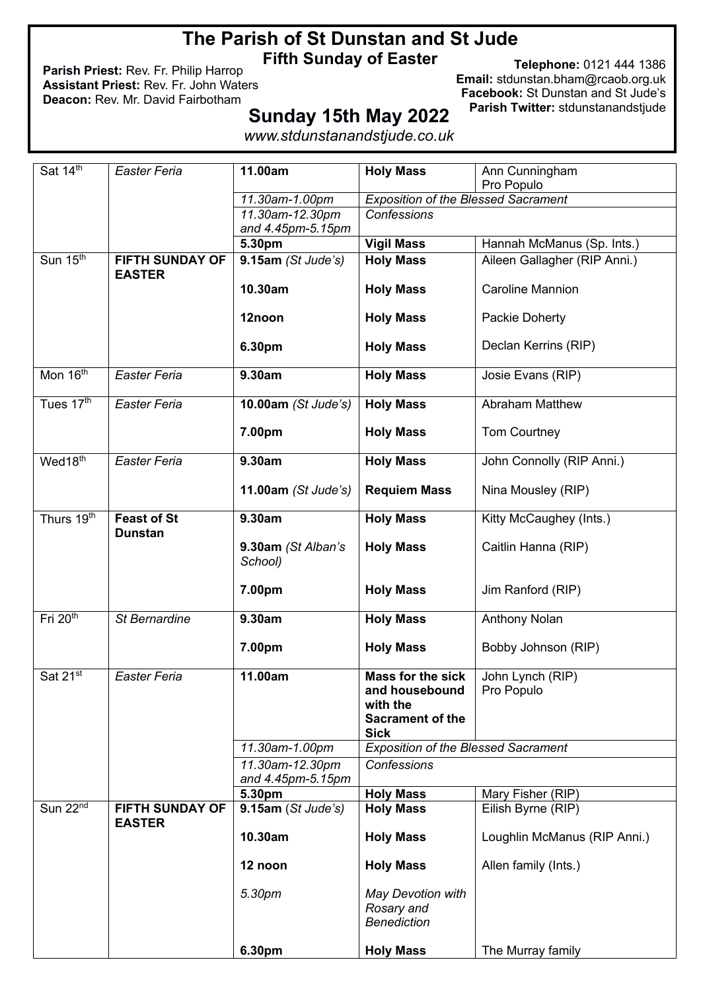# **The Parish of St Dunstan and St Jude**

**Fifth Sunday of Easter**

**Parish Priest:** Rev. Fr. Philip Harrop **Assistant Priest:** Rev. Fr. John Waters **Deacon:** Rev. Mr. David Fairbotham

**Telephone:** 0121 444 1386 **Email:** stdunstan.bham@rcaob.org.uk **Facebook:** St Dunstan and St Jude's **Parish Twitter:** stdunstanandstjude

# **Sunday 15th May 2022**

*www.stdunstanandstjude.co.uk*

| Sat 14th                 | <b>Easter Feria</b>                     | 11.00am                       | <b>Holy Mass</b>                                      | Ann Cunningham<br>Pro Populo |
|--------------------------|-----------------------------------------|-------------------------------|-------------------------------------------------------|------------------------------|
|                          |                                         | 11.30am-1.00pm                | <b>Exposition of the Blessed Sacrament</b>            |                              |
|                          |                                         | 11.30am-12.30pm               | Confessions                                           |                              |
|                          |                                         |                               |                                                       |                              |
|                          |                                         | and 4.45pm-5.15pm             |                                                       |                              |
|                          |                                         | 5.30pm                        | <b>Vigil Mass</b>                                     | Hannah McManus (Sp. Ints.)   |
| Sun 15 <sup>th</sup>     | <b>FIFTH SUNDAY OF</b><br><b>EASTER</b> | 9.15am(St Jude's)             | <b>Holy Mass</b>                                      | Aileen Gallagher (RIP Anni.) |
|                          |                                         | 10.30am                       | <b>Holy Mass</b>                                      | <b>Caroline Mannion</b>      |
|                          |                                         | 12noon                        | <b>Holy Mass</b>                                      | Packie Doherty               |
|                          |                                         | 6.30pm                        | <b>Holy Mass</b>                                      | Declan Kerrins (RIP)         |
| Mon 16 <sup>th</sup>     | <b>Easter Feria</b>                     | 9.30am                        | <b>Holy Mass</b>                                      | Josie Evans (RIP)            |
| Tues 17th                | <b>Easter Feria</b>                     | 10.00am (St Jude's)           | <b>Holy Mass</b>                                      | <b>Abraham Matthew</b>       |
|                          |                                         | 7.00pm                        | <b>Holy Mass</b>                                      | <b>Tom Courtney</b>          |
| Wed18 <sup>th</sup>      | <b>Easter Feria</b>                     | 9.30am                        | <b>Holy Mass</b>                                      | John Connolly (RIP Anni.)    |
|                          |                                         | 11.00am (St Jude's)           | <b>Requiem Mass</b>                                   | Nina Mousley (RIP)           |
| Thurs 19 <sup>th</sup>   | <b>Feast of St</b><br><b>Dunstan</b>    | 9.30am                        | <b>Holy Mass</b>                                      | Kitty McCaughey (Ints.)      |
|                          |                                         | 9.30am (St Alban's<br>School) | <b>Holy Mass</b>                                      | Caitlin Hanna (RIP)          |
|                          |                                         | 7.00pm                        | <b>Holy Mass</b>                                      | Jim Ranford (RIP)            |
| Fri $20th$               | St Bernardine                           | 9.30am                        | <b>Holy Mass</b>                                      | <b>Anthony Nolan</b>         |
|                          |                                         | 7.00pm                        | <b>Holy Mass</b>                                      | Bobby Johnson (RIP)          |
| Sat 21st                 | <b>Easter Feria</b>                     | 11.00am                       | <b>Mass for the sick</b>                              | John Lynch (RIP)             |
|                          |                                         |                               | and housebound                                        | Pro Populo                   |
|                          |                                         |                               | with the                                              |                              |
|                          |                                         |                               | <b>Sacrament of the</b>                               |                              |
|                          |                                         |                               | <b>Sick</b>                                           |                              |
|                          |                                         | 11.30am-1.00pm                | <b>Exposition of the Blessed Sacrament</b>            |                              |
|                          |                                         | 11.30am-12.30pm               | Confessions                                           |                              |
|                          |                                         |                               |                                                       |                              |
|                          |                                         | and 4.45pm-5.15pm             |                                                       |                              |
|                          |                                         | 5.30pm                        | <b>Holy Mass</b>                                      | Mary Fisher (RIP)            |
| Sun $22^{\overline{nd}}$ | <b>FIFTH SUNDAY OF</b><br><b>EASTER</b> | 9.15am(St Jude's)             | <b>Holy Mass</b>                                      | Eilish Byrne (RIP)           |
|                          |                                         | 10.30am                       | <b>Holy Mass</b>                                      | Loughlin McManus (RIP Anni.) |
|                          |                                         | 12 noon                       | <b>Holy Mass</b>                                      | Allen family (Ints.)         |
|                          |                                         | 5.30pm                        | May Devotion with<br>Rosary and<br><b>Benediction</b> |                              |
|                          |                                         | 6.30pm                        | <b>Holy Mass</b>                                      | The Murray family            |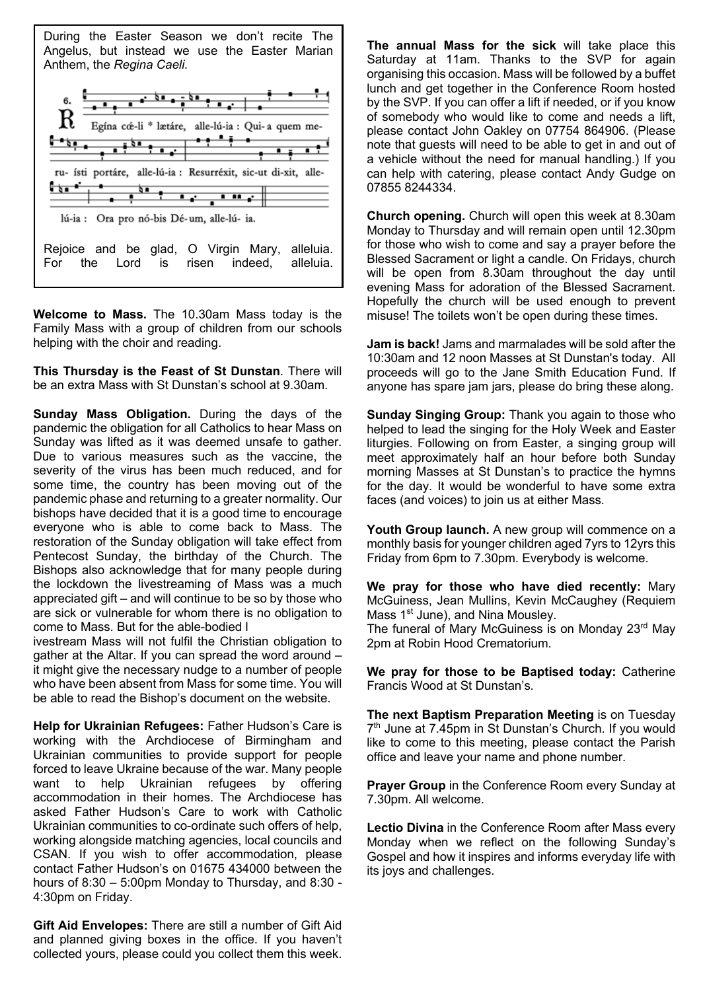

**Welcome to Mass.** The 10.30am Mass today is the Family Mass with a group of children from our schools helping with the choir and reading.

**This Thursday is the Feast of St Dunstan**. There will be an extra Mass with St Dunstan's school at 9.30am.

**Sunday Mass Obligation.** During the days of the pandemic the obligation for all Catholics to hear Mass on Sunday was lifted as it was deemed unsafe to gather. Due to various measures such as the vaccine, the severity of the virus has been much reduced, and for some time, the country has been moving out of the pandemic phase and returning to a greater normality. Our bishops have decided that it is a good time to encourage everyone who is able to come back to Mass. The restoration of the Sunday obligation will take effect from Pentecost Sunday, the birthday of the Church. The Bishops also acknowledge that for many people during the lockdown the livestreaming of Mass was a much appreciated gift – and will continue to be so by those who are sick or vulnerable for whom there is no obligation to come to Mass. But for the able-bodied l

ivestream Mass will not fulfil the Christian obligation to gather at the Altar. If you can spread the word around – it might give the necessary nudge to a number of people who have been absent from Mass for some time. You will be able to read the Bishop's document on the website.

**Help for Ukrainian Refugees:** Father Hudson's Care is working with the Archdiocese of Birmingham and Ukrainian communities to provide support for people forced to leave Ukraine because of the war. Many people want to help Ukrainian refugees by offering accommodation in their homes. The Archdiocese has asked Father Hudson's Care to work with Catholic Ukrainian communities to co-ordinate such offers of help, working alongside matching agencies, local councils and CSAN. If you wish to offer accommodation, please contact Father Hudson's on 01675 434000 between the hours of  $8:30 - 5:00$ pm Monday to Thursday, and  $8:30 - 5:00$ 4:30pm on Friday.

**Gift Aid Envelopes:** There are still a number of Gift Aid and planned giving boxes in the office. If you haven't collected yours, please could you collect them this week.

**The annual Mass for the sick** will take place this Saturday at 11am. Thanks to the SVP for again organising this occasion. Mass will be followed by a buffet lunch and get together in the Conference Room hosted by the SVP. If you can offer a lift if needed, or if you know of somebody who would like to come and needs a lift, please contact John Oakley on 07754 864906. (Please note that guests will need to be able to get in and out of a vehicle without the need for manual handling.) If you can help with catering, please contact Andy Gudge on 07855 8244334.

**Church opening.** Church will open this week at 8.30am Monday to Thursday and will remain open until 12.30pm for those who wish to come and say a prayer before the Blessed Sacrament or light a candle. On Fridays, church will be open from 8.30am throughout the day until evening Mass for adoration of the Blessed Sacrament. Hopefully the church will be used enough to prevent misuse! The toilets won't be open during these times.

**Jam is back!** Jams and marmalades will be sold after the 10:30am and 12 noon Masses at St Dunstan's today. All proceeds will go to the Jane Smith Education Fund. If anyone has spare jam jars, please do bring these along.

**Sunday Singing Group:** Thank you again to those who helped to lead the singing for the Holy Week and Easter liturgies. Following on from Easter, a singing group will meet approximately half an hour before both Sunday morning Masses at St Dunstan's to practice the hymns for the day. It would be wonderful to have some extra faces (and voices) to join us at either Mass.

**Youth Group launch.** A new group will commence on a monthly basis for younger children aged 7yrs to 12yrs this Friday from 6pm to 7.30pm. Everybody is welcome.

**We pray for those who have died recently:** Mary McGuiness, Jean Mullins, Kevin McCaughey (Requiem Mass 1<sup>st</sup> June), and Nina Mousley.

The funeral of Mary McGuiness is on Monday 23<sup>rd</sup> May 2pm at Robin Hood Crematorium.

**We pray for those to be Baptised today:** Catherine Francis Wood at St Dunstan's.

**The next Baptism Preparation Meeting** is on Tuesday 7<sup>th</sup> June at 7.45pm in St Dunstan's Church. If you would like to come to this meeting, please contact the Parish office and leave your name and phone number.

**Prayer Group** in the Conference Room every Sunday at 7.30pm. All welcome.

**Lectio Divina** in the Conference Room after Mass every Monday when we reflect on the following Sunday's Gospel and how it inspires and informs everyday life with its joys and challenges.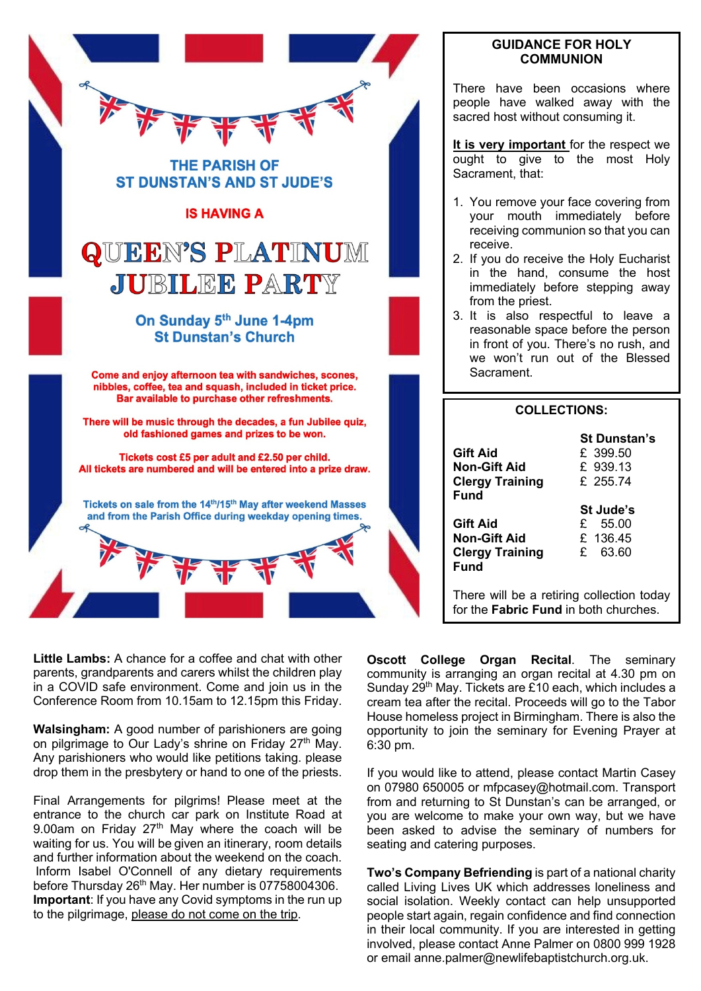

# **GUIDANCE FOR HOLY COMMUNION**

There have been occasions where people have walked away with the sacred host without consuming it.

**It is very important** for the respect we ought to give to the most Holy Sacrament, that:

- 1. You remove your face covering from your mouth immediately before receiving communion so that you can receive.
- 2. If you do receive the Holy Eucharist in the hand, consume the host immediately before stepping away from the priest.
- 3. It is also respectful to leave a reasonable space before the person in front of you. There's no rush, and we won't run out of the Blessed Sacrament.

|                                                           | <b>COLLECTIONS:</b>                                     |
|-----------------------------------------------------------|---------------------------------------------------------|
| <b>Gift Aid</b><br>Non-Gift Aid<br><b>Clergy Training</b> | <b>St Dunstan's</b><br>£ 399.50<br>£ 939.13<br>£ 255.74 |
| Fund                                                      | St Jude's                                               |
| <b>Gift Aid</b>                                           | £ 55.00                                                 |
| Non-Gift Aid                                              | £ $136.45$                                              |
| <b>Clergy Training</b><br>Fund                            | £ 63.60                                                 |
| for the Fabric Fund in both churches.                     | There will be a retiring collection today               |

**Little Lambs:** A chance for a coffee and chat with other parents, grandparents and carers whilst the children play in a COVID safe environment. Come and join us in the Conference Room from 10.15am to 12.15pm this Friday.

**Walsingham:** A good number of parishioners are going on pilgrimage to Our Lady's shrine on Friday 27<sup>th</sup> May. Any parishioners who would like petitions taking. please drop them in the presbytery or hand to one of the priests.

Final Arrangements for pilgrims! Please meet at the entrance to the church car park on Institute Road at 9.00am on Friday  $27<sup>th</sup>$  May where the coach will be waiting for us. You will be given an itinerary, room details and further information about the weekend on the coach.  Inform Isabel O'Connell of any dietary requirements before Thursday 26<sup>th</sup> May. Her number is 07758004306. **Important**: If you have any Covid symptoms in the run up to the pilgrimage, please do not come on the trip.

**Oscott College Organ Recital**. The seminary community is arranging an organ recital at 4.30 pm on Sunday 29<sup>th</sup> May. Tickets are £10 each, which includes a cream tea after the recital. Proceeds will go to the Tabor House homeless project in Birmingham. There is also the opportunity to join the seminary for Evening Prayer at 6:30 pm.

If you would like to attend, please contact Martin Casey on 07980 650005 or mfpcasey@hotmail.com. Transport from and returning to St Dunstan's can be arranged, or you are welcome to make your own way, but we have been asked to advise the seminary of numbers for seating and catering purposes.

**Two's Company Befriending** is part of a national charity called Living Lives UK which addresses loneliness and social isolation. Weekly contact can help unsupported people start again, regain confidence and find connection in their local community. If you are interested in getting involved, please contact Anne Palmer on 0800 999 1928 or email anne.palmer@newlifebaptistchurch.org.uk.